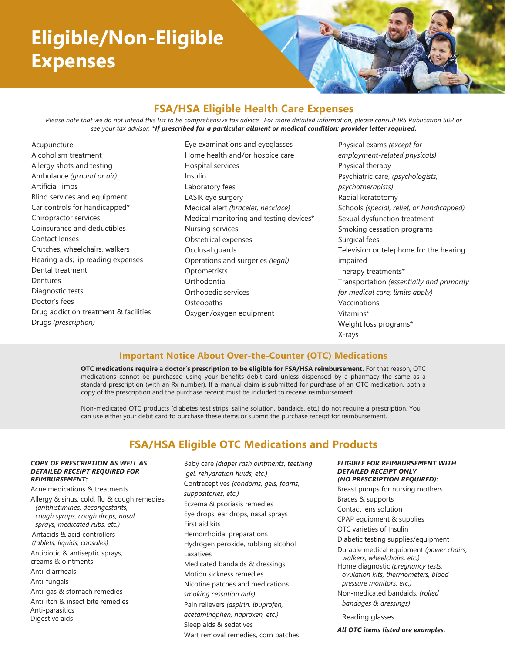# **Eligible/Non-Eligible Expenses**

## **FSA/HSA Eligible Health Care Expenses**

*Please note that we do not intend this list to be comprehensive tax advice. For more detailed information, please consult IRS Publication 502 or see your tax advisor. \*If prescribed for a particular ailment or medical condition; provider letter required.*

Acupuncture Alcoholism treatment Allergy shots and testing Ambulance *(ground or air)* Artificial limbs Blind services and equipment Car controls for handicapped\* Chiropractor services Coinsurance and deductibles Contact lenses Crutches, wheelchairs, walkers Hearing aids, lip reading expenses Dental treatment Dentures Diagnostic tests Doctor's fees Drug addiction treatment & facilities Drugs *(prescription)*

Eye examinations and eyeglasses Home health and/or hospice care Hospital services Insulin Laboratory fees LASIK eye surgery Medical alert *(bracelet, necklace)*  Medical monitoring and testing devices\* Nursing services Obstetrical expenses Occlusal guards Operations and surgeries *(legal)*  **Optometrists Orthodontia** Orthopedic services **Osteopaths** Oxygen/oxygen equipment

Physical exams *(except for employment-related physicals)*  Physical therapy Psychiatric care, *(psychologists, psychotherapists)*  Radial keratotomy Schools *(special, relief, or handicapped)*  Sexual dysfunction treatment Smoking cessation programs Surgical fees Television or telephone for the hearing impaired Therapy treatments\* Transportation *(essentially and primarily for medical care; limits apply)*  Vaccinations Vitamins\* Weight loss programs\* X-rays

### **Important Notice About Over-the-Counter (OTC) Medications**

**OTC medications require a doctor's prescription to be eligible for FSA/HSA reimbursement.** For that reason, OTC medications cannot be purchased using your benefits debit card unless dispensed by a pharmacy the same as a standard prescription (with an Rx number). If a manual claim is submitted for purchase of an OTC medication, both a copy of the prescription and the purchase receipt must be included to receive reimbursement.

Non-medicated OTC products (diabetes test strips, saline solution, bandaids, etc.) do not require a prescription. You can use either your debit card to purchase these items or submit the purchase receipt for reimbursement.

## **FSA/HSA Eligible OTC Medications and Products**

#### *COPY OF PRESCRIPTION AS WELL AS DETAILED RECEIPT REQUIRED FOR REIMBURSEMENT:*

Acne medications & treatments Allergy & sinus, cold, flu & cough remedies *(antihistimines, decongestants, cough syrups, cough drops, nasal sprays, medicated rubs, etc.)* Antacids & acid controllers *(tablets, liquids, capsules)* Antibiotic & antiseptic sprays, creams & ointments Anti-diarrheals Anti-fungals Anti-gas & stomach remedies Anti-itch & insect bite remedies Anti-parasitics Digestive aids

Baby care *(diaper rash ointments, teething gel, rehydration fluids, etc.)*  Contraceptives *(condoms, gels, foams, suppositories, etc.)* Eczema & psoriasis remedies Eye drops, ear drops, nasal sprays First aid kits Hemorrhoidal preparations Hydrogen peroxide, rubbing alcohol Laxatives Medicated bandaids & dressings Motion sickness remedies Nicotine patches and medications *smoking cessation aids)* Pain relievers *(aspirin, ibuprofen, acetaminophen, naproxen, etc.)* Sleep aids & sedatives Wart removal remedies, corn patches

#### *ELIGIBLE FOR REIMBURSEMENT WITH DETAILED RECEIPT ONLY (NO PRESCRIPTION REQUIRED):*

Breast pumps for nursing mothers Braces & supports Contact lens solution CPAP equipment & supplies OTC varieties of Insulin Diabetic testing supplies/equipment Durable medical equipment *(power chairs, walkers, wheelchairs, etc.)* Home diagnostic *(pregnancy tests, ovulation kits, thermometers, blood pressure monitors, etc.)* Non-medicated bandaids, *(rolled bandages & dressings)*  Reading glasses

*All OTC items listed are examples.*